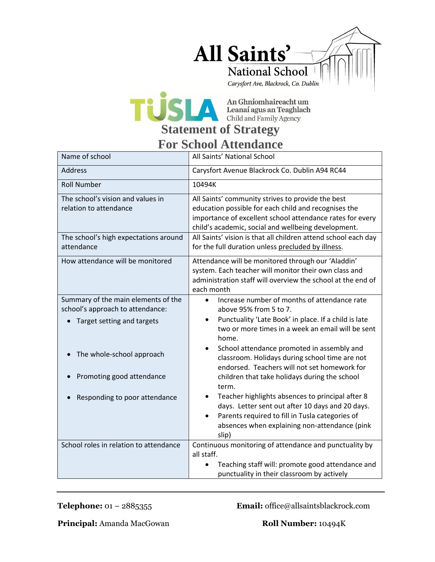



## **For School Attendance**

| Name of school                                                                                                                                                                                   | All Saints' National School                                                                                                                                                                                                                                                                                                                                                                                                                                                                                                                                                                                                                                                     |
|--------------------------------------------------------------------------------------------------------------------------------------------------------------------------------------------------|---------------------------------------------------------------------------------------------------------------------------------------------------------------------------------------------------------------------------------------------------------------------------------------------------------------------------------------------------------------------------------------------------------------------------------------------------------------------------------------------------------------------------------------------------------------------------------------------------------------------------------------------------------------------------------|
| <b>Address</b>                                                                                                                                                                                   | Carysfort Avenue Blackrock Co. Dublin A94 RC44                                                                                                                                                                                                                                                                                                                                                                                                                                                                                                                                                                                                                                  |
| <b>Roll Number</b>                                                                                                                                                                               | 10494K                                                                                                                                                                                                                                                                                                                                                                                                                                                                                                                                                                                                                                                                          |
| The school's vision and values in<br>relation to attendance                                                                                                                                      | All Saints' community strives to provide the best<br>education possible for each child and recognises the<br>importance of excellent school attendance rates for every<br>child's academic, social and wellbeing development.                                                                                                                                                                                                                                                                                                                                                                                                                                                   |
| The school's high expectations around<br>attendance                                                                                                                                              | All Saints' vision is that all children attend school each day<br>for the full duration unless precluded by illness.                                                                                                                                                                                                                                                                                                                                                                                                                                                                                                                                                            |
| How attendance will be monitored                                                                                                                                                                 | Attendance will be monitored through our 'Aladdin'<br>system. Each teacher will monitor their own class and<br>administration staff will overview the school at the end of<br>each month                                                                                                                                                                                                                                                                                                                                                                                                                                                                                        |
| Summary of the main elements of the<br>school's approach to attendance:<br>Target setting and targets<br>The whole-school approach<br>Promoting good attendance<br>Responding to poor attendance | Increase number of months of attendance rate<br>$\bullet$<br>above 95% from 5 to 7.<br>Punctuality 'Late Book' in place. If a child is late<br>$\bullet$<br>two or more times in a week an email will be sent<br>home.<br>School attendance promoted in assembly and<br>$\bullet$<br>classroom. Holidays during school time are not<br>endorsed. Teachers will not set homework for<br>children that take holidays during the school<br>term.<br>Teacher highlights absences to principal after 8<br>days. Letter sent out after 10 days and 20 days.<br>Parents required to fill in Tusla categories of<br>$\bullet$<br>absences when explaining non-attendance (pink<br>slip) |
| School roles in relation to attendance                                                                                                                                                           | Continuous monitoring of attendance and punctuality by<br>all staff.<br>Teaching staff will: promote good attendance and<br>punctuality in their classroom by actively                                                                                                                                                                                                                                                                                                                                                                                                                                                                                                          |

**Telephone:** 01 – 2885355 **Email:** office@allsaintsblackrock.com

**Principal:** Amanda MacGowan **Roll Number:** 10494K